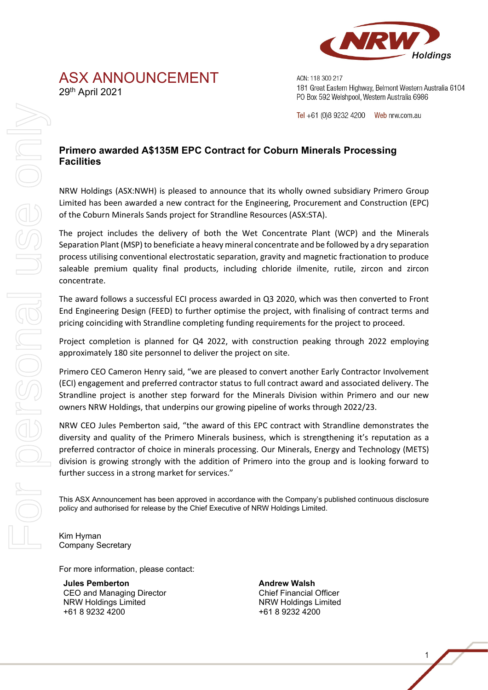

## ASX ANNOUNCEMENT 29th April 2021

ACN: 118 300 217 181 Great Eastern Highway, Belmont Western Australia 6104 PO Box 592 Welshpool, Western Australia 6986

Tel +61 (0)8 9232 4200 Web nrw.com.au

## **Primero awarded A\$135M EPC Contract for Coburn Minerals Processing Facilities**

NRW Holdings (ASX:NWH) is pleased to announce that its wholly owned subsidiary Primero Group Limited has been awarded a new contract for the Engineering, Procurement and Construction (EPC) of the Coburn Minerals Sands project for Strandline Resources (ASX:STA).

The project includes the delivery of both the Wet Concentrate Plant (WCP) and the Minerals Separation Plant (MSP) to beneficiate a heavy mineral concentrate and be followed by a dry separation process utilising conventional electrostatic separation, gravity and magnetic fractionation to produce saleable premium quality final products, including chloride ilmenite, rutile, zircon and zircon concentrate.

The award follows a successful ECI process awarded in Q3 2020, which was then converted to Front End Engineering Design (FEED) to further optimise the project, with finalising of contract terms and pricing coinciding with Strandline completing funding requirements for the project to proceed.

Project completion is planned for Q4 2022, with construction peaking through 2022 employing approximately 180 site personnel to deliver the project on site.

Primero CEO Cameron Henry said, "we are pleased to convert another Early Contractor Involvement (ECI) engagement and preferred contractor status to full contract award and associated delivery. The Strandline project is another step forward for the Minerals Division within Primero and our new owners NRW Holdings, that underpins our growing pipeline of works through 2022/23.

NRW CEO Jules Pemberton said, "the award of this EPC contract with Strandline demonstrates the diversity and quality of the Primero Minerals business, which is strengthening it's reputation as a preferred contractor of choice in minerals processing. Our Minerals, Energy and Technology (METS) division is growing strongly with the addition of Primero into the group and is looking forward to further success in a strong market for services."

This ASX Announcement has been approved in accordance with the Company's published continuous disclosure policy and authorised for release by the Chief Executive of NRW Holdings Limited.

Kim Hyman Company Secretary

For more information, please contact:

**Jules Pemberton Andrew Walsh** CEO and Managing Director NRW Holdings Limited +61 8 9232 4200

Chief Financial Officer NRW Holdings Limited +61 8 9232 4200

1